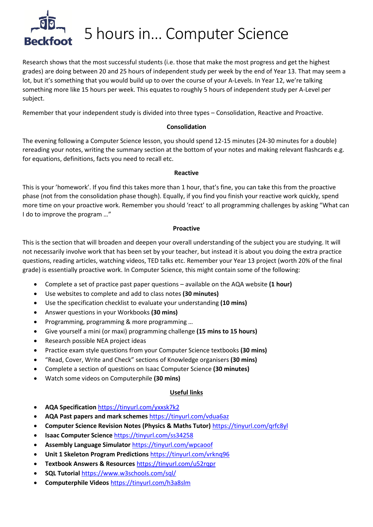

## 5 hours in… Computer Science

Research shows that the most successful students (i.e. those that make the most progress and get the highest grades) are doing between 20 and 25 hours of independent study per week by the end of Year 13. That may seem a lot, but it's something that you would build up to over the course of your A-Levels. In Year 12, we're talking something more like 15 hours per week. This equates to roughly 5 hours of independent study per A-Level per subject.

Remember that your independent study is divided into three types – Consolidation, Reactive and Proactive.

#### **Consolidation**

The evening following a Computer Science lesson, you should spend 12-15 minutes (24-30 minutes for a double) rereading your notes, writing the summary section at the bottom of your notes and making relevant flashcards e.g. for equations, definitions, facts you need to recall etc.

#### **Reactive**

This is your 'homework'. If you find this takes more than 1 hour, that's fine, you can take this from the proactive phase (not from the consolidation phase though). Equally, if you find you finish your reactive work quickly, spend more time on your proactive work. Remember you should 'react' to all programming challenges by asking "What can I do to improve the program …"

#### **Proactive**

This is the section that will broaden and deepen your overall understanding of the subject you are studying. It will not necessarily involve work that has been set by your teacher, but instead it is about you doing the extra practice questions, reading articles, watching videos, TED talks etc. Remember your Year 13 project (worth 20% of the final grade) is essentially proactive work. In Computer Science, this might contain some of the following:

- Complete a set of practice past paper questions available on the AQA website **(1 hour)**
- Use websites to complete and add to class notes **(30 minutes)**
- Use the specification checklist to evaluate your understanding **(10 mins)**
- Answer questions in your Workbooks **(30 mins)**
- Programming, programming & more programming …
- Give yourself a mini (or maxi) programming challenge **(15 mins to 15 hours)**
- Research possible NEA project ideas
- Practice exam style questions from your Computer Science textbooks **(30 mins)**
- "Read, Cover, Write and Check" sections of Knowledge organisers **(30 mins)**
- Complete a section of questions on Isaac Computer Science **(30 minutes)**
- Watch some videos on Computerphile **(30 mins)**

### **Useful links**

- **AQA Specification** <https://tinyurl.com/yxxsk7k2>
- **AQA Past papers and mark schemes** <https://tinyurl.com/vdua6az>
- **Computer Science Revision Notes (Physics & Maths Tutor)** <https://tinyurl.com/qrfc8yl>
- **Isaac Computer Science** <https://tinyurl.com/ss34258>
- **Assembly Language Simulator** <https://tinyurl.com/wpcaoof>
- **Unit 1 Skeleton Program Predictions** <https://tinyurl.com/vrknq96>
- **Textbook Answers & Resources** <https://tinyurl.com/u52rqpr>
- **SQL Tutorial** <https://www.w3schools.com/sql/>
- **Computerphile Videos** <https://tinyurl.com/h3a8slm>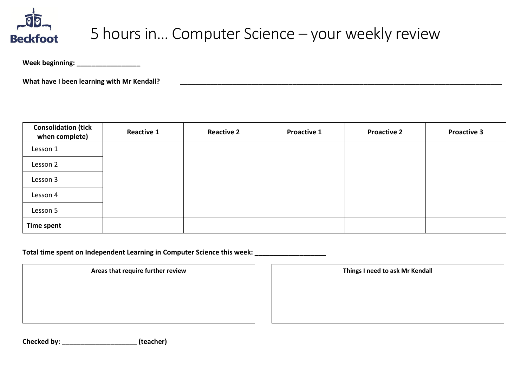

# 5 hours in… Computer Science – your weekly review

**Week beginning: \_\_\_\_\_\_\_\_\_\_\_\_\_\_\_\_\_**

What have I been learning with Mr Kendall?

| <b>Consolidation (tick</b><br>when complete) |  | <b>Reactive 1</b> | <b>Reactive 2</b> | <b>Proactive 1</b> | <b>Proactive 2</b> | <b>Proactive 3</b> |
|----------------------------------------------|--|-------------------|-------------------|--------------------|--------------------|--------------------|
| Lesson 1                                     |  |                   |                   |                    |                    |                    |
| Lesson 2                                     |  |                   |                   |                    |                    |                    |
| Lesson 3                                     |  |                   |                   |                    |                    |                    |
| Lesson 4                                     |  |                   |                   |                    |                    |                    |
| Lesson 5                                     |  |                   |                   |                    |                    |                    |
| <b>Time spent</b>                            |  |                   |                   |                    |                    |                    |

Total time spent on Independent Learning in Computer Science this week:

Areas that require further review **Things I need to ask Mr Kendall** 

**Checked by: \_\_\_\_\_\_\_\_\_\_\_\_\_\_\_\_\_\_\_\_ (teacher)**